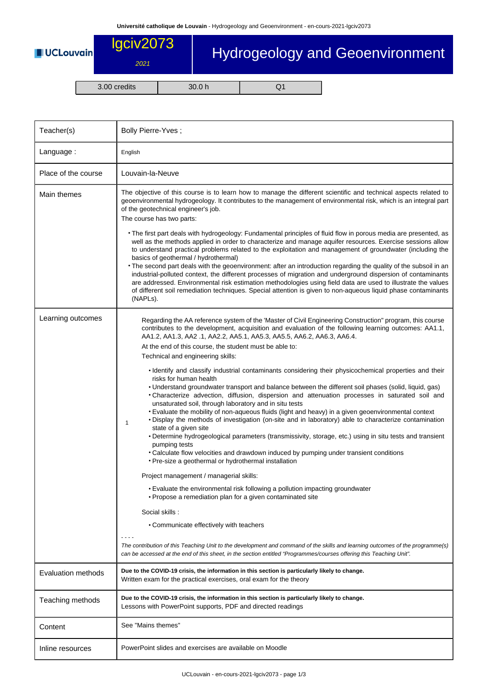## lgciv2073 Hydrogeology and Geoenvironment **UCLouvain** 2021

3.00 credits 30.0 h Q1

| Teacher(s)                | Bolly Pierre-Yves;                                                                                                                                                                                                                                                                                                                                                                                                                                                                                                                                                                                                                                                                                                                                                                                                                                                                                                                                                                                                                                                                                                                                                                                                                                                                                                                                                                                                                                                                                                                                                                                                                                                                                                                                                                                                                               |
|---------------------------|--------------------------------------------------------------------------------------------------------------------------------------------------------------------------------------------------------------------------------------------------------------------------------------------------------------------------------------------------------------------------------------------------------------------------------------------------------------------------------------------------------------------------------------------------------------------------------------------------------------------------------------------------------------------------------------------------------------------------------------------------------------------------------------------------------------------------------------------------------------------------------------------------------------------------------------------------------------------------------------------------------------------------------------------------------------------------------------------------------------------------------------------------------------------------------------------------------------------------------------------------------------------------------------------------------------------------------------------------------------------------------------------------------------------------------------------------------------------------------------------------------------------------------------------------------------------------------------------------------------------------------------------------------------------------------------------------------------------------------------------------------------------------------------------------------------------------------------------------|
| Language:                 | English                                                                                                                                                                                                                                                                                                                                                                                                                                                                                                                                                                                                                                                                                                                                                                                                                                                                                                                                                                                                                                                                                                                                                                                                                                                                                                                                                                                                                                                                                                                                                                                                                                                                                                                                                                                                                                          |
| Place of the course       | Louvain-la-Neuve                                                                                                                                                                                                                                                                                                                                                                                                                                                                                                                                                                                                                                                                                                                                                                                                                                                                                                                                                                                                                                                                                                                                                                                                                                                                                                                                                                                                                                                                                                                                                                                                                                                                                                                                                                                                                                 |
| Main themes               | The objective of this course is to learn how to manage the different scientific and technical aspects related to<br>geoenvironmental hydrogeology. It contributes to the management of environmental risk, which is an integral part<br>of the geotechnical engineer's job.<br>The course has two parts:<br>• The first part deals with hydrogeology: Fundamental principles of fluid flow in porous media are presented, as<br>well as the methods applied in order to characterize and manage aquifer resources. Exercise sessions allow<br>to understand practical problems related to the exploitation and management of groundwater (including the<br>basics of geothermal / hydrothermal)<br>. The second part deals with the geoenvironment: after an introduction regarding the quality of the subsoil in an<br>industrial-polluted context, the different processes of migration and underground dispersion of contaminants<br>are addressed. Environmental risk estimation methodologies using field data are used to illustrate the values<br>of different soil remediation techniques. Special attention is given to non-aqueous liquid phase contaminants<br>(NAPL <sub>s</sub> ).                                                                                                                                                                                                                                                                                                                                                                                                                                                                                                                                                                                                                                                  |
| Learning outcomes         | Regarding the AA reference system of the 'Master of Civil Engineering Construction" program, this course<br>contributes to the development, acquisition and evaluation of the following learning outcomes: AA1.1,<br>AA1.2, AA1.3, AA2.1, AA2.2, AA5.1, AA5.3, AA5.5, AA6.2, AA6.3, AA6.4.<br>At the end of this course, the student must be able to:<br>Technical and engineering skills:<br>• Identify and classify industrial contaminants considering their physicochemical properties and their<br>risks for human health<br>• Understand groundwater transport and balance between the different soil phases (solid, liquid, gas)<br>. Characterize advection, diffusion, dispersion and attenuation processes in saturated soil and<br>unsaturated soil, through laboratory and in situ tests<br>• Evaluate the mobility of non-aqueous fluids (light and heavy) in a given geoenvironmental context<br>. Display the methods of investigation (on-site and in laboratory) able to characterize contamination<br>1<br>state of a given site<br>• Determine hydrogeological parameters (transmissivity, storage, etc.) using in situ tests and transient<br>pumping tests<br>• Calculate flow velocities and drawdown induced by pumping under transient conditions<br>• Pre-size a geothermal or hydrothermal installation<br>Project management / managerial skills:<br>. Evaluate the environmental risk following a pollution impacting groundwater<br>• Propose a remediation plan for a given contaminated site<br>Social skills:<br>• Communicate effectively with teachers<br>The contribution of this Teaching Unit to the development and command of the skills and learning outcomes of the programme(s)<br>can be accessed at the end of this sheet, in the section entitled "Programmes/courses offering this Teaching Unit". |
| <b>Evaluation methods</b> | Due to the COVID-19 crisis, the information in this section is particularly likely to change.<br>Written exam for the practical exercises, oral exam for the theory                                                                                                                                                                                                                                                                                                                                                                                                                                                                                                                                                                                                                                                                                                                                                                                                                                                                                                                                                                                                                                                                                                                                                                                                                                                                                                                                                                                                                                                                                                                                                                                                                                                                              |
| Teaching methods          | Due to the COVID-19 crisis, the information in this section is particularly likely to change.<br>Lessons with PowerPoint supports, PDF and directed readings                                                                                                                                                                                                                                                                                                                                                                                                                                                                                                                                                                                                                                                                                                                                                                                                                                                                                                                                                                                                                                                                                                                                                                                                                                                                                                                                                                                                                                                                                                                                                                                                                                                                                     |
| Content                   | See "Mains themes"                                                                                                                                                                                                                                                                                                                                                                                                                                                                                                                                                                                                                                                                                                                                                                                                                                                                                                                                                                                                                                                                                                                                                                                                                                                                                                                                                                                                                                                                                                                                                                                                                                                                                                                                                                                                                               |
| Inline resources          | PowerPoint slides and exercises are available on Moodle                                                                                                                                                                                                                                                                                                                                                                                                                                                                                                                                                                                                                                                                                                                                                                                                                                                                                                                                                                                                                                                                                                                                                                                                                                                                                                                                                                                                                                                                                                                                                                                                                                                                                                                                                                                          |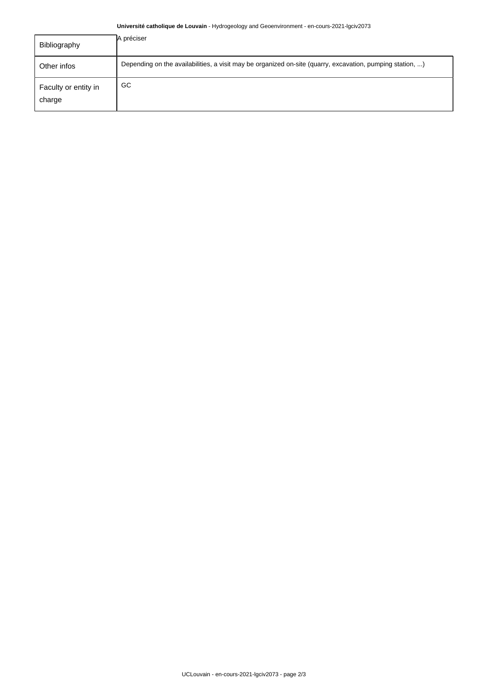## **Université catholique de Louvain** - Hydrogeology and Geoenvironment - en-cours-2021-lgciv2073

| Bibliography                   | A préciser                                                                                                |
|--------------------------------|-----------------------------------------------------------------------------------------------------------|
| Other infos                    | Depending on the availabilities, a visit may be organized on-site (quarry, excavation, pumping station, ) |
| Faculty or entity in<br>charge | GC                                                                                                        |